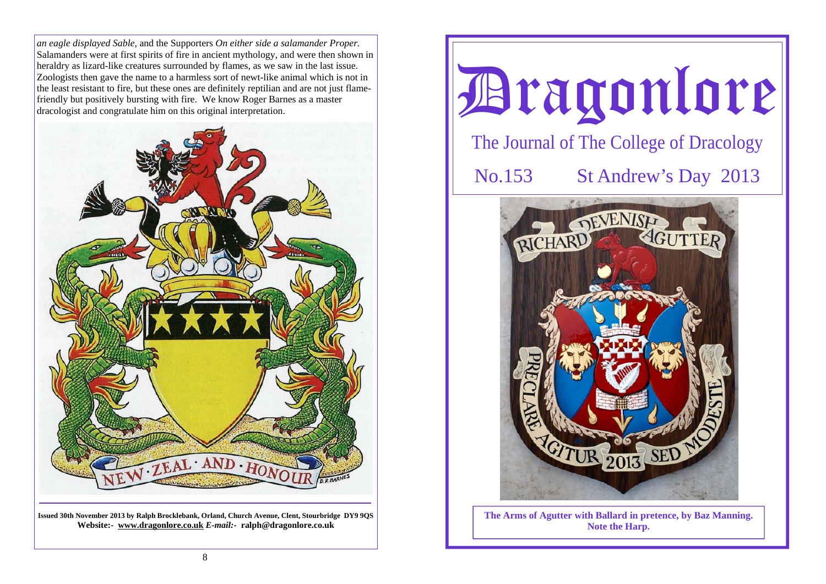*an eagle displayed Sable,* and the Supporters *On either side a salamander Proper.*  Salamanders were at first spirits of fire in ancient mythology, and were then shown in heraldry as lizard-like creatures surrounded by flames, as we saw in the last issue. Zoologists then gave the name to a harmless sort of newt-like animal which is not in the least resistant to fire, but these ones are definitely reptilian and are not just flamefriendly but positively bursting with fire. We know Roger Barnes as a master dracologist and congratulate him on this original interpretation.



**Issued 30th November 2013 by Ralph Brocklebank, Orland, Church Avenue, Clent, Stourbridge DY9 9QS Website:- www.dragonlore.co.uk** *E-mail:-* **ralph@dragonlore.co.uk**



**Note the Harp.**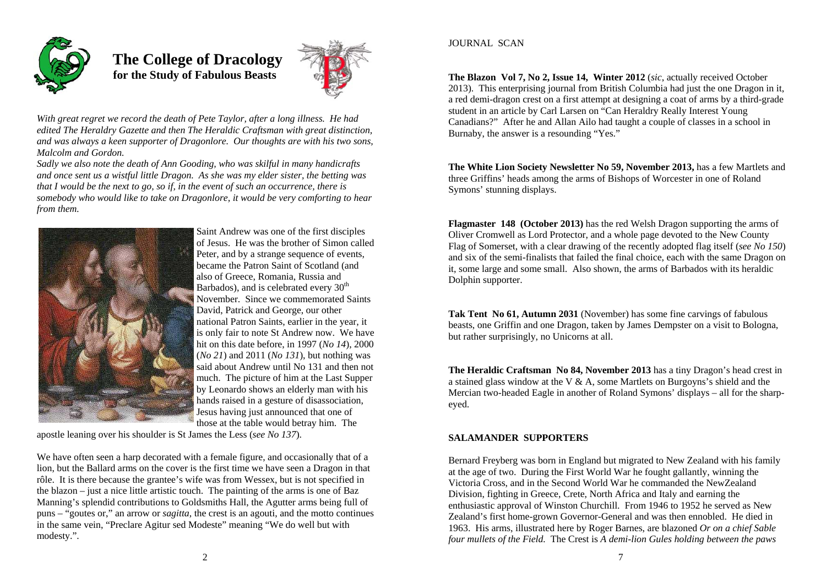

 **The College of Dracology for the Study of Fabulous Beasts** 



*With great regret we record the death of Pete Taylor, after a long illness. He had edited The Heraldry Gazette and then The Heraldic Craftsman with great distinction, and was always a keen supporter of Dragonlore. Our thoughts are with his two sons, Malcolm and Gordon.* 

*Sadly we also note the death of Ann Gooding, who was skilful in many handicrafts and once sent us a wistful little Dragon. As she was my elder sister, the betting was that I would be the next to go, so if, in the event of such an occurrence, there is somebody who would like to take on Dragonlore, it would be very comforting to hear from them.* 



Saint Andrew was one of the first disciples of Jesus. He was the brother of Simon called Peter, and by a strange sequence of events, became the Patron Saint of Scotland (and also of Greece, Romania, Russia and Barbados), and is celebrated every  $30<sup>th</sup>$ November. Since we commemorated Saints David, Patrick and George, our other national Patron Saints, earlier in the year, it is only fair to note St Andrew now. We have hit on this date before, in 1997 (*No 14*), 2000 (*No 21*) and 2011 (*No 131*), but nothing was said about Andrew until No 131 and then not much. The picture of him at the Last Supper by Leonardo shows an elderly man with his hands raised in a gesture of disassociation, Jesus having just announced that one of those at the table would betray him. The

apostle leaning over his shoulder is St James the Less (*see No 137*).

We have often seen a harp decorated with a female figure, and occasionally that of a lion, but the Ballard arms on the cover is the first time we have seen a Dragon in that rôle. It is there because the grantee's wife was from Wessex, but is not specified in the blazon – just a nice little artistic touch. The painting of the arms is one of Baz Manning's splendid contributions to Goldsmiths Hall, the Agutter arms being full of puns – "goutes or," an arrow or *sagitta*, the crest is an agouti, and the motto continues in the same vein, "Preclare Agitur sed Modeste" meaning "We do well but with modesty.".

## **JOURNAL SCAN**

**The Blazon Vol 7, No 2, Issue 14, Winter 2012** (*sic*, actually received October 2013). This enterprising journal from British Columbia had just the one Dragon in it, a red demi-dragon crest on a first attempt at designing a coat of arms by a third-grade student in an article by Carl Larsen on "Can Heraldry Really Interest Young Canadians?" After he and Allan Ailo had taught a couple of classes in a school in Burnaby, the answer is a resounding "Yes."

**The White Lion Society Newsletter No 59, November 2013,** has a few Martlets and three Griffins' heads among the arms of Bishops of Worcester in one of Roland Symons' stunning displays.

**Flagmaster 148 (October 2013)** has the red Welsh Dragon supporting the arms of Oliver Cromwell as Lord Protector, and a whole page devoted to the New County Flag of Somerset, with a clear drawing of the recently adopted flag itself (*see No 150*) and six of the semi-finalists that failed the final choice, each with the same Dragon on it, some large and some small. Also shown, the arms of Barbados with its heraldic Dolphin supporter.

**Tak Tent No 61, Autumn 2031** (November) has some fine carvings of fabulous beasts, one Griffin and one Dragon, taken by James Dempster on a visit to Bologna, but rather surprisingly, no Unicorns at all.

**The Heraldic Craftsman No 84, November 2013** has a tiny Dragon's head crest in a stained glass window at the V & A, some Martlets on Burgoyns's shield and the Mercian two-headed Eagle in another of Roland Symons' displays – all for the sharpeyed.

# **SALAMANDER SUPPORTERS**

Bernard Freyberg was born in England but migrated to New Zealand with his family at the age of two. During the First World War he fought gallantly, winning the Victoria Cross, and in the Second World War he commanded the NewZealand Division, fighting in Greece, Crete, North Africa and Italy and earning the enthusiastic approval of Winston Churchill. From 1946 to 1952 he served as New Zealand's first home-grown Governor-General and was then ennobled. He died in 1963. His arms, illustrated here by Roger Barnes, are blazoned *Or on a chief Sable four mullets of the Field.* The Crest is *A demi-lion Gules holding between the paws*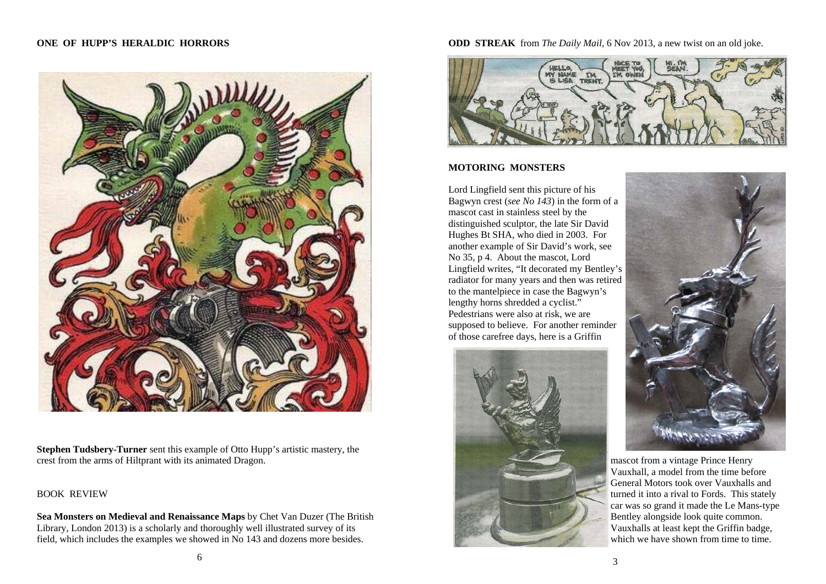### **ONE OF HUPP'S HERALDIC HORRORS**



**Stephen Tudsbery-Turner** sent this example of Otto Hupp's artistic mastery, the crest from the arms of Hiltprant with its animated Dragon.

## BOOK REVIEW

**Sea Monsters on Medieval and Renaissance Maps** by Chet Van Duzer (The British Library, London 2013) is a scholarly and thoroughly well illustrated survey of its field, which includes the examples we showed in No 143 and dozens more besides.

**ODD STREAK** from *The Daily Mail,* 6 Nov 2013, a new twist on an old joke.



#### **MOTORING MONSTERS**

Lord Lingfield sent this picture of his Bagwyn crest (*see No 143*) in the form of a mascot cast in stainless steel by the distinguished sculptor, the late Sir David Hughes Bt SHA, who died in 2003. For another example of Sir David's work, see No 35, p 4. About the mascot, Lord Lingfield writes, "It decorated my Bentley's radiator for many years and then was retired to the mantelpiece in case the Bagwyn's lengthy horns shredded a cyclist." Pedestrians were also at risk, we are supposed to believe. For another reminder of those carefree days, here is a Griffin





mascot from a vintage Prince Henry Vauxhall, a model from the time before General Motors took over Vauxhalls and turned it into a rival to Fords. This stately car was so grand it made the Le Mans-type Bentley alongside look quite common. Vauxhalls at least kept the Griffin badge, which we have shown from time to time.